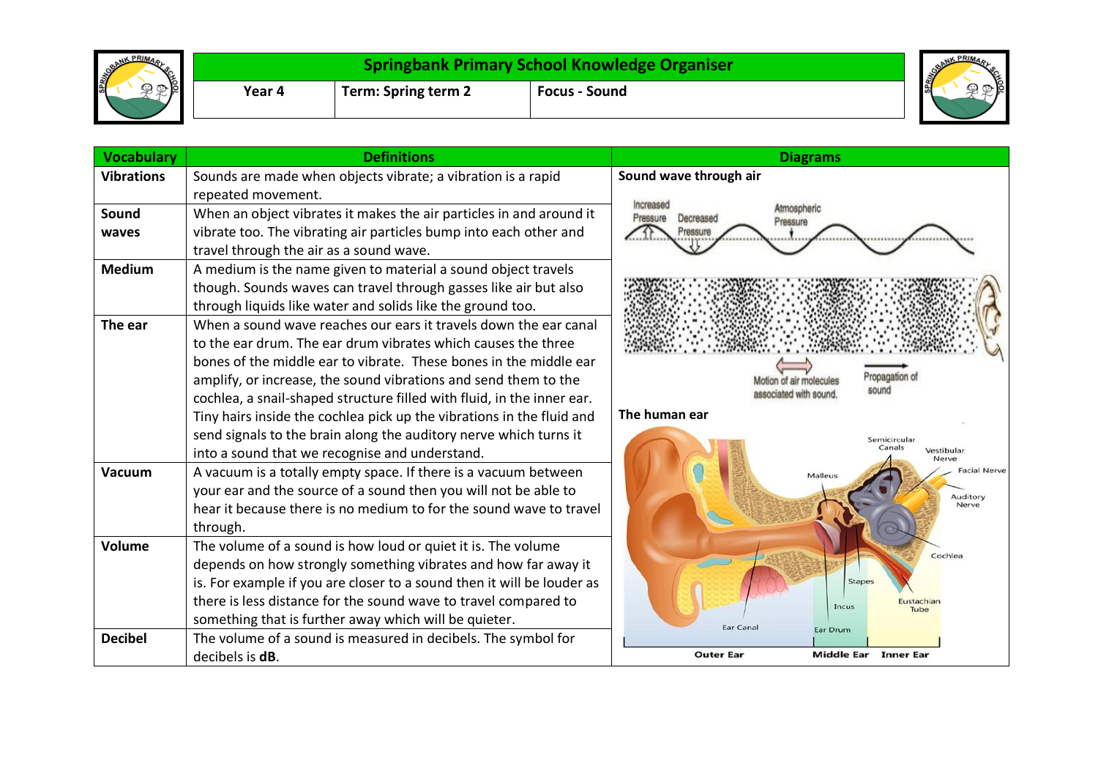| BRANK PRIMA | <b>Springbank Primary School Knowledge Organiser</b> |                     |                      | <b>SPRING®</b> |
|-------------|------------------------------------------------------|---------------------|----------------------|----------------|
| ≻ lo        | Year 4                                               | Term: Spring term 2 | <b>Focus - Sound</b> |                |

| <b>Vocabulary</b> | <b>Definitions</b>                                                     | <b>Diagrams</b>                                             |
|-------------------|------------------------------------------------------------------------|-------------------------------------------------------------|
| <b>Vibrations</b> | Sounds are made when objects vibrate; a vibration is a rapid           | Sound wave through air                                      |
|                   | repeated movement.                                                     | Increased                                                   |
| Sound             | When an object vibrates it makes the air particles in and around it    | Atmospheric<br>Pressure<br>Decreased<br>Pressure            |
| waves             | vibrate too. The vibrating air particles bump into each other and      | <br>**********                                              |
|                   | travel through the air as a sound wave.                                |                                                             |
| <b>Medium</b>     | A medium is the name given to material a sound object travels          |                                                             |
|                   | though. Sounds waves can travel through gasses like air but also       |                                                             |
|                   | through liquids like water and solids like the ground too.             |                                                             |
| The ear           | When a sound wave reaches our ears it travels down the ear canal       |                                                             |
|                   | to the ear drum. The ear drum vibrates which causes the three          |                                                             |
|                   | bones of the middle ear to vibrate. These bones in the middle ear      |                                                             |
|                   | amplify, or increase, the sound vibrations and send them to the        | Propagation of<br><i>f</i> lotion of air molecules<br>sound |
|                   | cochlea, a snail-shaped structure filled with fluid, in the inner ear. | associated with sound                                       |
|                   | Tiny hairs inside the cochlea pick up the vibrations in the fluid and  | The human ear                                               |
|                   | send signals to the brain along the auditory nerve which turns it      | Semicircular                                                |
|                   | into a sound that we recognise and understand.                         | Canals<br>Vestibular<br>Nerve                               |
| Vacuum            | A vacuum is a totally empty space. If there is a vacuum between        | <b>Facial Nerve</b><br>Malleus                              |
|                   | your ear and the source of a sound then you will not be able to        | Auditory                                                    |
|                   | hear it because there is no medium to for the sound wave to travel     | Nerve                                                       |
|                   | through.                                                               |                                                             |
| Volume            | The volume of a sound is how loud or quiet it is. The volume           | Cochlea                                                     |
|                   | depends on how strongly something vibrates and how far away it         |                                                             |
|                   | is. For example if you are closer to a sound then it will be louder as | Stape:                                                      |
|                   | there is less distance for the sound wave to travel compared to        | Eustachian<br><b>Incus</b><br>Tube                          |
|                   | something that is further away which will be quieter.                  | <b>Ear Canal</b><br>Ear Drum                                |
| <b>Decibel</b>    | The volume of a sound is measured in decibels. The symbol for          |                                                             |
|                   | decibels is <b>dB</b> .                                                | <b>Outer Ear</b><br><b>Middle Ear</b> Inner Ear             |